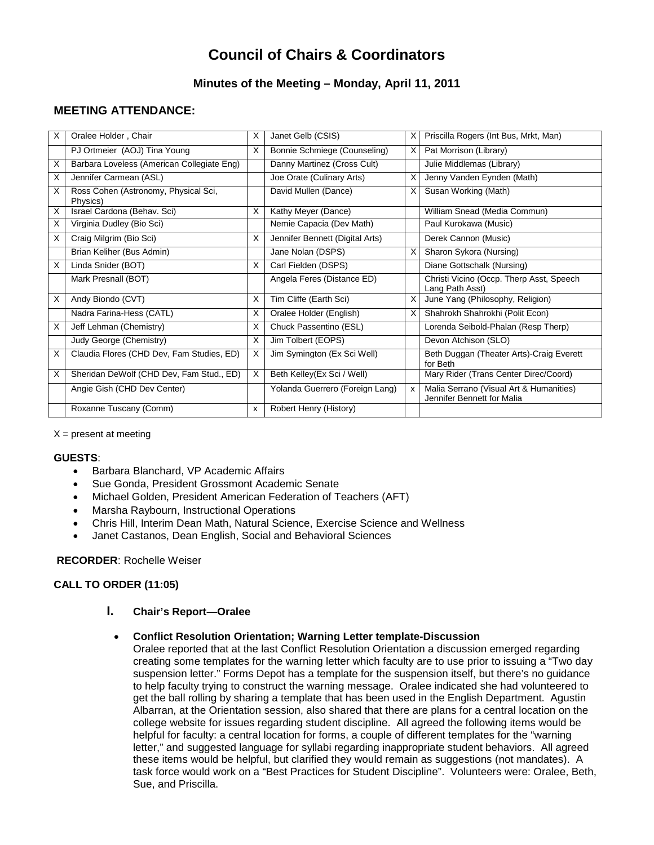# **Council of Chairs & Coordinators**

## **Minutes of the Meeting – Monday, April 11, 2011**

## **MEETING ATTENDANCE:**

| X | Oralee Holder, Chair                             | X            | Janet Gelb (CSIS)               | X | Priscilla Rogers (Int Bus, Mrkt, Man)                                 |
|---|--------------------------------------------------|--------------|---------------------------------|---|-----------------------------------------------------------------------|
|   | PJ Ortmeier (AOJ) Tina Young                     | X            | Bonnie Schmiege (Counseling)    | X | Pat Morrison (Library)                                                |
| X | Barbara Loveless (American Collegiate Eng)       |              | Danny Martinez (Cross Cult)     |   | Julie Middlemas (Library)                                             |
| X | Jennifer Carmean (ASL)                           |              | Joe Orate (Culinary Arts)       | X | Jenny Vanden Eynden (Math)                                            |
| Χ | Ross Cohen (Astronomy, Physical Sci,<br>Physics) |              | David Mullen (Dance)            | X | Susan Working (Math)                                                  |
| X | Israel Cardona (Behav. Sci)                      | X            | Kathy Meyer (Dance)             |   | William Snead (Media Commun)                                          |
| X | Virginia Dudley (Bio Sci)                        |              | Nemie Capacia (Dev Math)        |   | Paul Kurokawa (Music)                                                 |
| X | Craig Milgrim (Bio Sci)                          | X            | Jennifer Bennett (Digital Arts) |   | Derek Cannon (Music)                                                  |
|   | Brian Keliher (Bus Admin)                        |              | Jane Nolan (DSPS)               | X | Sharon Sykora (Nursing)                                               |
| X | Linda Snider (BOT)                               | X            | Carl Fielden (DSPS)             |   | Diane Gottschalk (Nursing)                                            |
|   | Mark Presnall (BOT)                              |              | Angela Feres (Distance ED)      |   | Christi Vicino (Occp. Therp Asst, Speech<br>Lang Path Asst)           |
| X | Andy Biondo (CVT)                                | X            | Tim Cliffe (Earth Sci)          | X | June Yang (Philosophy, Religion)                                      |
|   | Nadra Farina-Hess (CATL)                         | X            | Oralee Holder (English)         | X | Shahrokh Shahrokhi (Polit Econ)                                       |
| х | Jeff Lehman (Chemistry)                          | X            | Chuck Passentino (ESL)          |   | Lorenda Seibold-Phalan (Resp Therp)                                   |
|   | Judy George (Chemistry)                          | X            | Jim Tolbert (EOPS)              |   | Devon Atchison (SLO)                                                  |
| X | Claudia Flores (CHD Dev, Fam Studies, ED)        | X            | Jim Symington (Ex Sci Well)     |   | Beth Duggan (Theater Arts)-Craig Everett<br>for Beth                  |
| X | Sheridan DeWolf (CHD Dev, Fam Stud., ED)         | X            | Beth Kelley(Ex Sci / Well)      |   | Mary Rider (Trans Center Direc/Coord)                                 |
|   | Angie Gish (CHD Dev Center)                      |              | Yolanda Guerrero (Foreign Lang) | x | Malia Serrano (Visual Art & Humanities)<br>Jennifer Bennett for Malia |
|   | Roxanne Tuscany (Comm)                           | $\mathsf{x}$ | Robert Henry (History)          |   |                                                                       |

 $X =$  present at meeting

#### **GUESTS**:

- Barbara Blanchard, VP Academic Affairs
- Sue Gonda, President Grossmont Academic Senate
- Michael Golden, President American Federation of Teachers (AFT)
- Marsha Raybourn, Instructional Operations
- Chris Hill, Interim Dean Math, Natural Science, Exercise Science and Wellness
- Janet Castanos, Dean English, Social and Behavioral Sciences

#### **RECORDER**: Rochelle Weiser

### **CALL TO ORDER (11:05)**

### **I. Chair's Report—Oralee**

#### • **Conflict Resolution Orientation; Warning Letter template-Discussion**

Oralee reported that at the last Conflict Resolution Orientation a discussion emerged regarding creating some templates for the warning letter which faculty are to use prior to issuing a "Two day suspension letter." Forms Depot has a template for the suspension itself, but there's no guidance to help faculty trying to construct the warning message. Oralee indicated she had volunteered to get the ball rolling by sharing a template that has been used in the English Department. Agustin Albarran, at the Orientation session, also shared that there are plans for a central location on the college website for issues regarding student discipline. All agreed the following items would be helpful for faculty: a central location for forms, a couple of different templates for the "warning letter," and suggested language for syllabi regarding inappropriate student behaviors. All agreed these items would be helpful, but clarified they would remain as suggestions (not mandates). A task force would work on a "Best Practices for Student Discipline". Volunteers were: Oralee, Beth, Sue, and Priscilla.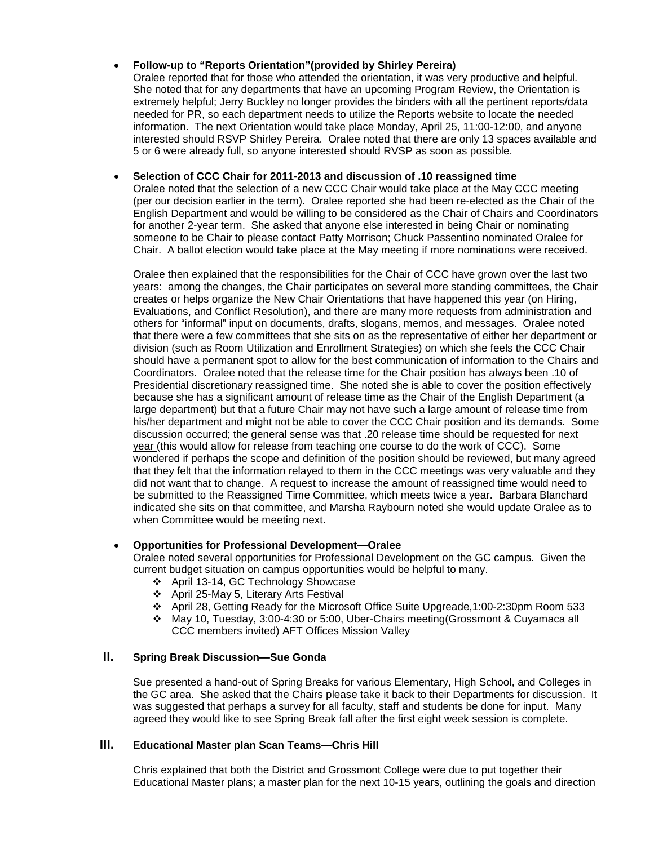## • **Follow-up to "Reports Orientation"(provided by Shirley Pereira)**

Oralee reported that for those who attended the orientation, it was very productive and helpful. She noted that for any departments that have an upcoming Program Review, the Orientation is extremely helpful; Jerry Buckley no longer provides the binders with all the pertinent reports/data needed for PR, so each department needs to utilize the Reports website to locate the needed information. The next Orientation would take place Monday, April 25, 11:00-12:00, and anyone interested should RSVP Shirley Pereira. Oralee noted that there are only 13 spaces available and 5 or 6 were already full, so anyone interested should RVSP as soon as possible.

### • **Selection of CCC Chair for 2011-2013 and discussion of .10 reassigned time**

Oralee noted that the selection of a new CCC Chair would take place at the May CCC meeting (per our decision earlier in the term). Oralee reported she had been re-elected as the Chair of the English Department and would be willing to be considered as the Chair of Chairs and Coordinators for another 2-year term. She asked that anyone else interested in being Chair or nominating someone to be Chair to please contact Patty Morrison; Chuck Passentino nominated Oralee for Chair. A ballot election would take place at the May meeting if more nominations were received.

Oralee then explained that the responsibilities for the Chair of CCC have grown over the last two years: among the changes, the Chair participates on several more standing committees, the Chair creates or helps organize the New Chair Orientations that have happened this year (on Hiring, Evaluations, and Conflict Resolution), and there are many more requests from administration and others for "informal" input on documents, drafts, slogans, memos, and messages. Oralee noted that there were a few committees that she sits on as the representative of either her department or division (such as Room Utilization and Enrollment Strategies) on which she feels the CCC Chair should have a permanent spot to allow for the best communication of information to the Chairs and Coordinators. Oralee noted that the release time for the Chair position has always been .10 of Presidential discretionary reassigned time. She noted she is able to cover the position effectively because she has a significant amount of release time as the Chair of the English Department (a large department) but that a future Chair may not have such a large amount of release time from his/her department and might not be able to cover the CCC Chair position and its demands. Some discussion occurred; the general sense was that .20 release time should be requested for next year (this would allow for release from teaching one course to do the work of CCC). Some wondered if perhaps the scope and definition of the position should be reviewed, but many agreed that they felt that the information relayed to them in the CCC meetings was very valuable and they did not want that to change. A request to increase the amount of reassigned time would need to be submitted to the Reassigned Time Committee, which meets twice a year. Barbara Blanchard indicated she sits on that committee, and Marsha Raybourn noted she would update Oralee as to when Committee would be meeting next.

# • **Opportunities for Professional Development—Oralee**

Oralee noted several opportunities for Professional Development on the GC campus. Given the current budget situation on campus opportunities would be helpful to many.

- April 13-14, GC Technology Showcase
- April 25-May 5, Literary Arts Festival
- April 28, Getting Ready for the Microsoft Office Suite Upgreade,1:00-2:30pm Room 533
- May 10, Tuesday, 3:00-4:30 or 5:00, Uber-Chairs meeting(Grossmont & Cuyamaca all CCC members invited) AFT Offices Mission Valley

## **II. Spring Break Discussion—Sue Gonda**

Sue presented a hand-out of Spring Breaks for various Elementary, High School, and Colleges in the GC area. She asked that the Chairs please take it back to their Departments for discussion. It was suggested that perhaps a survey for all faculty, staff and students be done for input. Many agreed they would like to see Spring Break fall after the first eight week session is complete.

## **III. Educational Master plan Scan Teams—Chris Hill**

Chris explained that both the District and Grossmont College were due to put together their Educational Master plans; a master plan for the next 10-15 years, outlining the goals and direction